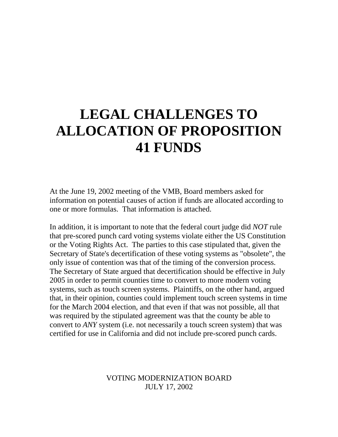## **LEGAL CHALLENGES TO ALLOCATION OF PROPOSITION 41 FUNDS**

At the June 19, 2002 meeting of the VMB, Board members asked for information on potential causes of action if funds are allocated according to one or more formulas. That information is attached.

In addition, it is important to note that the federal court judge did *NOT* rule that pre-scored punch card voting systems violate either the US Constitution or the Voting Rights Act. The parties to this case stipulated that, given the Secretary of State's decertification of these voting systems as "obsolete", the only issue of contention was that of the timing of the conversion process. The Secretary of State argued that decertification should be effective in July 2005 in order to permit counties time to convert to more modern voting systems, such as touch screen systems. Plaintiffs, on the other hand, argued that, in their opinion, counties could implement touch screen systems in time for the March 2004 election, and that even if that was not possible, all that was required by the stipulated agreement was that the county be able to convert to *ANY* system (i.e. not necessarily a touch screen system) that was certified for use in California and did not include pre-scored punch cards.

> VOTING MODERNIZATION BOARD JULY 17, 2002